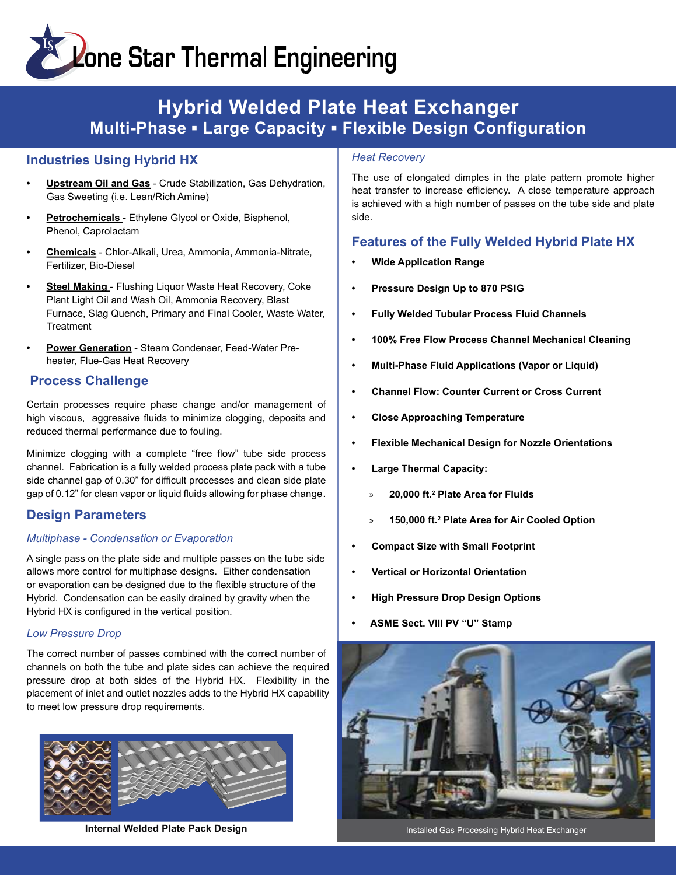# **Example 2 Star Thermal Engineering**

### Hybrid Welded Plate Heat Exchanger Multi-Phase • Large Capacity • Flexible Design Configuration

#### Industries Using Hybrid HX

- **Upstream Oil and Gas Crude Stabilization, Gas Dehydration,** Gas Sweeting (i.e. Lean/Rich Amine)
- Petrochemicals Ethylene Glycol or Oxide, Bisphenol, Phenol, Caprolactam
- Chemicals Chlor-Alkali, Urea, Ammonia, Ammonia-Nitrate, Fertilizer, Bio-Diesel
- Steel Making Flushing Liquor Waste Heat Recovery, Coke Plant Light Oil and Wash Oil, Ammonia Recovery, Blast Furnace, Slag Quench, Primary and Final Cooler, Waste Water, **Treatment**
- Power Generation Steam Condenser, Feed-Water Preheater, Flue-Gas Heat Recovery

#### Process Challenge

Certain processes require phase change and/or management of high viscous, aggressive fluids to minimize clogging, deposits and reduced thermal performance due to fouling.

Minimize clogging with a complete "free flow" tube side process channel. Fabrication is a fully welded process plate pack with a tube side channel gap of 0.30" for difficult processes and clean side plate gap of 0.12" for clean vapor or liquid fluids allowing for phase change.

#### Design Parameters

#### Multiphase - Condensation or Evaporation

A single pass on the plate side and multiple passes on the tube side allows more control for multiphase designs. Either condensation or evaporation can be designed due to the flexible structure of the Hybrid. Condensation can be easily drained by gravity when the Hybrid HX is configured in the vertical position.

#### Low Pressure Drop

The correct number of passes combined with the correct number of channels on both the tube and plate sides can achieve the required pressure drop at both sides of the Hybrid HX. Flexibility in the placement of inlet and outlet nozzles adds to the Hybrid HX capability to meet low pressure drop requirements.



Internal Welded Plate Pack Design Installed Gas Processing Hybrid Heat Exchanger

#### **Heat Recovery**

The use of elongated dimples in the plate pattern promote higher heat transfer to increase efficiency. A close temperature approach is achieved with a high number of passes on the tube side and plate side.

#### Features of the Fully Welded Hybrid Plate HX

- Wide Application Range
- Pressure Design Up to 870 PSIG
- Fully Welded Tubular Process Fluid Channels
- 100% Free Flow Process Channel Mechanical Cleaning
- Multi-Phase Fluid Applications (Vapor or Liquid)
- Channel Flow: Counter Current or Cross Current
- Close Approaching Temperature
- Flexible Mechanical Design for Nozzle Orientations
- Large Thermal Capacity:
	- » 20,000 ft.<sup>2</sup> Plate Area for Fluids
	- » 150,000 ft.<sup>2</sup> Plate Area for Air Cooled Option
- Compact Size with Small Footprint
- Vertical or Horizontal Orientation
- High Pressure Drop Design Options
- ASME Sect. VIII PV "U" Stamp